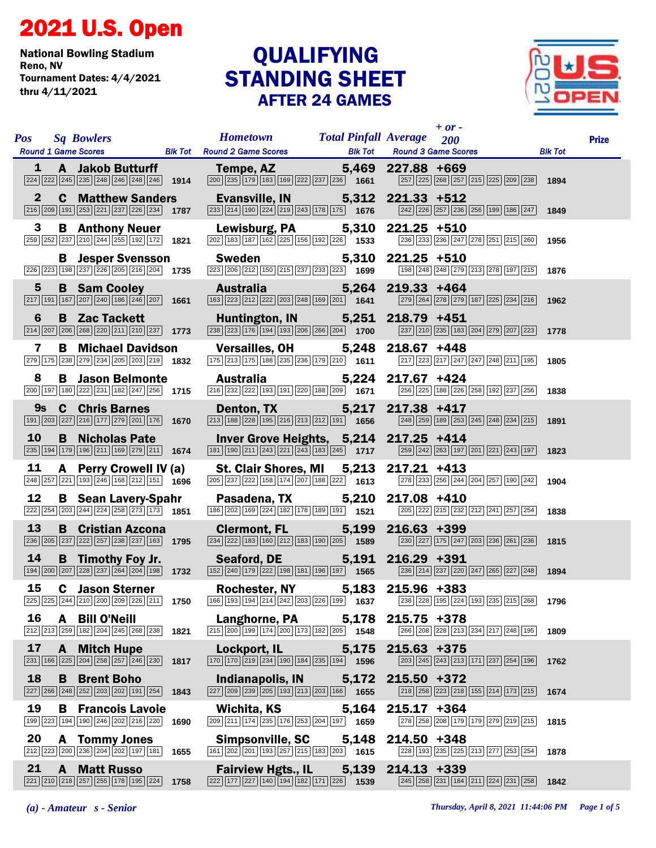## 2021 U.S. Open

National Bowling Stadium Tournament Dates: 4/4/2021 thru 4/11/2021

## STANDING SHEET AFTER 24 GAMES **QUALIFYING**



| <b>Pos</b> |                    | <b>Sq Bowlers</b>                                                                                                                                                                 |      | <b>Hometown</b><br>Round 1 Game Scores Blk Tot Round 2 Game Scores                                                                                                       |               | $+$ or -<br><b>Total Pinfall Average</b> 200<br><b>Blk Tot Round 3 Game Scores</b>                                                                                                                                                                                                                         | <b>Blk Tot</b> | <b>Prize</b> |
|------------|--------------------|-----------------------------------------------------------------------------------------------------------------------------------------------------------------------------------|------|--------------------------------------------------------------------------------------------------------------------------------------------------------------------------|---------------|------------------------------------------------------------------------------------------------------------------------------------------------------------------------------------------------------------------------------------------------------------------------------------------------------------|----------------|--------------|
|            | $\mathbf{1}$       | $\sqrt{224}\sqrt{222}\sqrt{245}\sqrt{235}\sqrt{248}\sqrt{246}\sqrt{248}\sqrt{246}\sqrt{1914}$                                                                                     |      | A Jakob Butturff Tempe, AZ 5,469 227.88 +669<br>$\boxed{200}\boxed{235}\boxed{179}\boxed{183}\boxed{169}\boxed{222}\boxed{237}\boxed{236}$ 1661                          |               | 257 225 268 257 215 225 209 238 1894                                                                                                                                                                                                                                                                       |                |              |
|            | $\mathbf{2}$       | <b>C</b> Matthew Sanders<br>$\boxed{216}$ $\boxed{209}$ $\boxed{191}$ $\boxed{253}$ $\boxed{221}$ $\boxed{237}$ $\boxed{226}$ $\boxed{234}$ <b>1787</b>                           |      | Evansville, IN 5,312 221.33 +512<br>$\boxed{233}\boxed{214}\boxed{190}\boxed{224}\boxed{219}\boxed{243}\boxed{178}\boxed{175}$ 1676                                      |               | 242 26 257 236 256 199 186 247 1849                                                                                                                                                                                                                                                                        |                |              |
|            | 3                  | <b>B</b> Anthony Neuer<br>259 252 237 210 244 255 192 172 1821                                                                                                                    |      | Lewisburg, PA 5,310 221.25 +510<br>$\boxed{202}$ 183 187 162 225 156 192 226 1533                                                                                        |               | 236 233 236 247 278 251 215 260                                                                                                                                                                                                                                                                            | 1956           |              |
|            |                    | <b>B</b> Jesper Svensson<br>226 223 198 237 226 205 216 204 1735                                                                                                                  |      | Sweden<br>$\overline{223}$ $\overline{206}$ $\overline{212}$ $\overline{150}$ $\overline{215}$ $\overline{237}$ $\overline{233}$ $\overline{223}$ $\overline{1699}$      |               | 5,310 221.25 +510<br>198 248 248 279 213 278 197 215 1876                                                                                                                                                                                                                                                  |                |              |
|            | $5\phantom{.0}$    | <b>B</b> Sam Cooley<br>$\boxed{217}$ 191 167 207 240 186 246 207 1661                                                                                                             |      | <b>Australia Australia</b><br>$\boxed{163}\boxed{223}\boxed{212}\boxed{222}\boxed{203}\boxed{248}\boxed{169}\boxed{201}$ 1641                                            |               | 5,264 219.33 +464<br>279 264 278 279 187 225 234 216 1962                                                                                                                                                                                                                                                  |                |              |
|            | 6                  | <b>B</b> Zac Tackett<br>$\boxed{214}$ $\boxed{207}$ $\boxed{206}$ $\boxed{268}$ $\boxed{220}$ $\boxed{211}$ $\boxed{210}$ $\boxed{237}$ <b>1773</b>                               |      | Huntington, IN 5,251 218.79 +451<br>$\boxed{238}\boxed{223}\boxed{176}\boxed{194}\boxed{193}\boxed{206}\boxed{266}\boxed{204}$ 1700                                      |               | 237 210 235 183 204 279 207 223 1778                                                                                                                                                                                                                                                                       |                |              |
|            | 7                  | <b>B</b> Michael Davidson<br>279 175 238 279 234 205 203 219 1832                                                                                                                 |      | Versailles, OH 5,248 218.67 +448<br>$\boxed{175}$ $\boxed{213}$ $\boxed{175}$ $\boxed{188}$ $\boxed{235}$ $\boxed{236}$ $\boxed{179}$ $\boxed{210}$ $\boxed{1611}$       |               | $\boxed{217}$ $\boxed{223}$ $\boxed{217}$ $\boxed{247}$ $\boxed{248}$ $\boxed{211}$ $\boxed{195}$ <b>1805</b>                                                                                                                                                                                              |                |              |
|            | 8                  | <b>B</b> Jason Belmonte<br>$\boxed{200}$ 197 180 222 231 182 247 256 1715                                                                                                         |      | <b>Australia</b><br>$\boxed{216}$ $\boxed{232}$ $\boxed{222}$ $\boxed{193}$ $\boxed{191}$ $\boxed{220}$ $\boxed{188}$ $\boxed{209}$ $\boxed{1671}$                       |               | 5,224 217.67 +424<br>256 225 188 226 258 192 237 256 1838                                                                                                                                                                                                                                                  |                |              |
|            | 9s                 | <b>C</b> Chris Barnes<br>191 203 227 216 177 279 201 176 1670                                                                                                                     |      | <b>Denton, TX</b><br>$\boxed{213}$ $\boxed{188}$ $\boxed{228}$ $\boxed{195}$ $\boxed{216}$ $\boxed{213}$ $\boxed{212}$ $\boxed{191}$ $\boxed{1656}$                      |               | 5,217 217.38 +417<br>$\boxed{248}$ $\boxed{259}$ $\boxed{189}$ $\boxed{253}$ $\boxed{245}$ $\boxed{248}$ $\boxed{234}$ $\boxed{215}$                                                                                                                                                                       | 1891           |              |
|            | 10                 | <b>B</b> Nicholas Pate<br>235 194 179 196 211 169 279 211 1674                                                                                                                    |      | Inver Grove Heights, 5,214 217.25 +414<br>$\boxed{181}$ $\boxed{190}$ $\boxed{211}$ $\boxed{243}$ $\boxed{221}$ $\boxed{243}$ $\boxed{183}$ $\boxed{245}$ $\boxed{1717}$ |               | 259 242 263 197 201 221 243 197 1823                                                                                                                                                                                                                                                                       |                |              |
|            | 11                 | A Perry Crowell IV (a)<br>$\overline{248}$ $\overline{257}$ $\overline{221}$ 193 $\overline{246}$ 168 $\overline{212}$ 151 1596                                                   |      | St. Clair Shores, MI<br>$\boxed{205}$ $\boxed{237}$ $\boxed{222}$ 158 174 207 188 222 1613                                                                               |               | 5,213 217.21 +413<br>278 233 256 244 204 257 190 242 1904                                                                                                                                                                                                                                                  |                |              |
|            | 12                 | <b>B</b> Sean Lavery-Spahr<br>$\overline{222}$ $\overline{254}$ $\overline{203}$ $\overline{244}$ $\overline{224}$ $\overline{258}$ $\overline{273}$ $\overline{173}$ <b>1851</b> |      | Pasadena, TX                                                                                                                                                             |               | 5,210 217.08 +410<br>$\boxed{186}\boxed{202}\boxed{169}\boxed{224}\boxed{182}\boxed{178}\boxed{189}\boxed{191}$ <b>1521</b> $\boxed{205}\boxed{222}\boxed{215}\boxed{232}\boxed{212}\boxed{241}\boxed{257}\boxed{254}$                                                                                     | 1838           |              |
|            | 13                 | <b>B</b> Cristian Azcona<br>$\boxed{236}$ $\boxed{205}$ $\boxed{237}$ $\boxed{222}$ $\boxed{257}$ $\boxed{238}$ $\boxed{237}$ $\boxed{163}$ <b>1795</b>                           |      | Clermont, FL 5,199 216.63 +399<br>$\boxed{234}$ $\boxed{222}$ $\boxed{183}$ $\boxed{160}$ $\boxed{212}$ $\boxed{183}$ $\boxed{190}$ $\boxed{205}$ <b>1589</b>            |               | $\boxed{230}$ $\boxed{227}$ $\boxed{175}$ $\boxed{247}$ $\boxed{203}$ $\boxed{236}$ $\boxed{261}$ $\boxed{236}$ <b>1815</b>                                                                                                                                                                                |                |              |
|            | 14                 | <b>B</b> Timothy Foy Jr.<br>$\boxed{194}$ $\boxed{200}$ $\boxed{207}$ $\boxed{228}$ $\boxed{237}$ $\boxed{264}$ $\boxed{204}$ $\boxed{198}$ 1732                                  |      | <b>Seaford, DE</b><br>[152] 240 179 222 198 181 196 197 1565                                                                                                             |               | 5,191 216.29 +391<br>236 214 237 220 247 265 227 248 1894                                                                                                                                                                                                                                                  |                |              |
|            | 15                 | <b>C</b> Jason Sterner                                                                                                                                                            |      | Rochester, NY 5,183 215.96 +383                                                                                                                                          |               | $\boxed{225}\boxed{225}\boxed{244}\boxed{210}\boxed{200}\boxed{200}\boxed{208}\boxed{226}\boxed{211}$ 1750 $\boxed{166}\boxed{193}\boxed{194}\boxed{214}\boxed{242}\boxed{203}\boxed{226}\boxed{199}$ 1637 $\boxed{238}\boxed{228}\boxed{195}\boxed{224}\boxed{193}\boxed{235}\boxed{215}\boxed{268}$ 1796 |                |              |
|            | 16                 | A Bill O'Neill<br>212 213 259 182 204 245 268 238                                                                                                                                 | 1821 | Langhorne, PA<br>$\boxed{215}$ $\boxed{200}$ $\boxed{199}$ $\boxed{174}$ $\boxed{200}$ $\boxed{173}$ $\boxed{182}$ $\boxed{205}$ $\boxed{1548}$                          | 5,178         | $215.75 + 378$<br>266 208 228 213 234 217 248 195                                                                                                                                                                                                                                                          | 1809           |              |
|            | 17                 | <b>A</b> Mitch Hupe<br>$\boxed{231}$ 166 $\boxed{225}$ $\boxed{204}$ $\boxed{258}$ $\boxed{257}$ $\boxed{246}$ $\boxed{230}$                                                      | 1817 | Lockport, IL<br>$\boxed{170}$ $\boxed{170}$ $\boxed{219}$ $\boxed{234}$ $\boxed{190}$ $\boxed{184}$ $\boxed{235}$ $\boxed{194}$ $\boxed{1596}$                           | 5,175         | $215.63 + 375$<br>$\boxed{203}$ $\boxed{245}$ $\boxed{243}$ $\boxed{213}$ $\boxed{171}$ $\boxed{237}$ $\boxed{254}$ $\boxed{196}$                                                                                                                                                                          | 1762           |              |
| 18         |                    | <b>B</b> Brent Boho<br>227 266 248 252 203 202 191 254                                                                                                                            | 1843 | Indianapolis, IN<br>$\boxed{227}$ $\boxed{209}$ $\boxed{239}$ $\boxed{205}$ $\boxed{193}$ $\boxed{213}$ $\boxed{203}$ $\boxed{166}$ $\boxed{1655}$                       | 5,172         | $215.50 + 372$<br>218 258 223 218 155 214 173 215                                                                                                                                                                                                                                                          | 1674           |              |
|            | 19                 | <b>B</b> Francois Lavoie<br>199 223 194 190 246 202 216 220                                                                                                                       | 1690 | Wichita, KS<br>209 211 174 235 176 253 204 197 1659                                                                                                                      | 5,164         | $215.17 + 364$<br>278 258 208 179 179 279 219 215                                                                                                                                                                                                                                                          | 1815           |              |
|            | 20                 | <b>A</b> Tommy Jones<br>212 223 200 236 204 202 197 181                                                                                                                           | 1655 | Simpsonville, SC<br>$\boxed{161}\boxed{202}\boxed{201}\boxed{193}\boxed{257}\boxed{215}\boxed{183}\boxed{203}$ 1615                                                      | 5,148         | 214.50 +348<br>228 193 235 225 213 277 253 254                                                                                                                                                                                                                                                             | 1878           |              |
|            | 21<br>$\mathbf{A}$ | <b>Matt Russo</b><br>221 210 218 257 255 178 195 224                                                                                                                              | 1758 | <b>Fairview Hgts., IL</b><br>$\boxed{222}\boxed{177}\boxed{227}\boxed{140}\boxed{194}\boxed{182}\boxed{171}\boxed{226}$                                                  | 5,139<br>1539 | $214.13 + 339$<br>245 258 231 184 211 224 231 258                                                                                                                                                                                                                                                          | 1842           |              |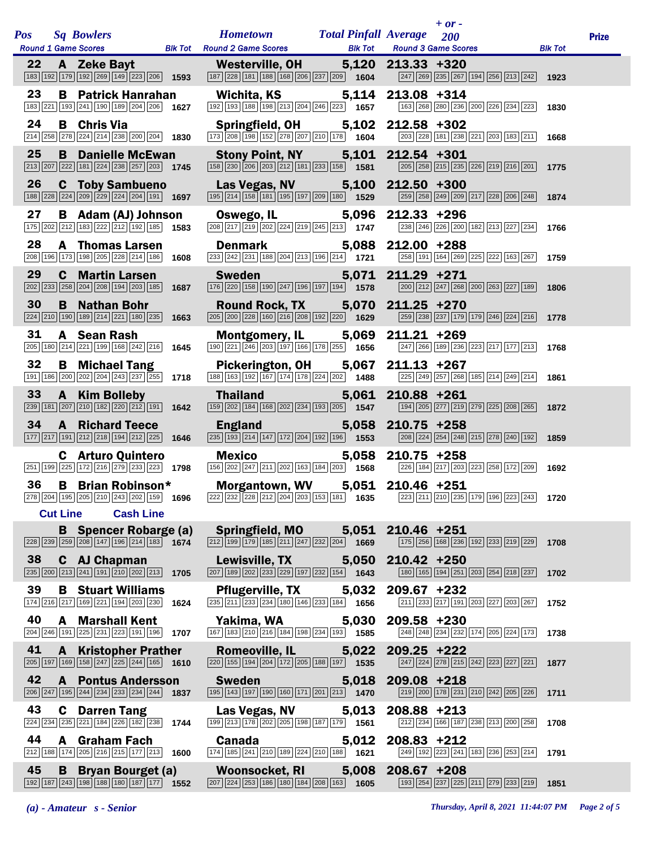| <b>Pos</b> |              | <b>Sq Bowlers</b><br>Round 1 Game Scores Blk Tot Round 2 Game Scores                                                                                                                      |      | <b>Hometown</b>                                                                                                                                                                      | <b>Total Pinfall Average</b><br><b>Blk Tot</b> |                   | $+$ or $-$<br>200<br><b>Round 3 Game Scores</b> |                                                                                                                             | <b>Blk Tot</b> | <b>Prize</b> |
|------------|--------------|-------------------------------------------------------------------------------------------------------------------------------------------------------------------------------------------|------|--------------------------------------------------------------------------------------------------------------------------------------------------------------------------------------|------------------------------------------------|-------------------|-------------------------------------------------|-----------------------------------------------------------------------------------------------------------------------------|----------------|--------------|
| 22         |              | A Zeke Bayt<br>$\boxed{183}$ $\boxed{192}$ $\boxed{179}$ $\boxed{192}$ $\boxed{269}$ $\boxed{149}$ $\boxed{223}$ $\boxed{206}$ <b>1593</b>                                                |      | Westerville, OH<br>$\boxed{187}$ $\boxed{228}$ $\boxed{181}$ $\boxed{188}$ $\boxed{168}$ $\boxed{206}$ $\boxed{237}$ $\boxed{209}$ <b>1604</b>                                       |                                                | 5,120 213.33 +320 |                                                 | $\boxed{247}$ $\boxed{269}$ $\boxed{235}$ $\boxed{267}$ $\boxed{194}$ $\boxed{256}$ $\boxed{213}$ $\boxed{242}$ <b>1923</b> |                |              |
| 23         |              | <b>B</b> Patrick Hanrahan<br>183 221 193 241 190 189 204 206 1627                                                                                                                         |      | Wichita, KS<br>$\boxed{192}\boxed{193}\boxed{188}\boxed{198}\boxed{213}\boxed{204}\boxed{246}\boxed{223}$ 1657                                                                       | 5,114                                          | $213.08 + 314$    |                                                 | [163] 268 280 236 200 226 234 223                                                                                           | 1830           |              |
| 24         |              | <b>B</b> Chris Via<br>$\overline{ 214 }$ $\overline{ 258 }$ $\overline{ 278 }$ $\overline{ 224 }$ $\overline{ 214 }$ $\overline{ 238 }$ $\overline{ 200 }$ $\overline{ 204 }$ <b>1830</b> |      | <b>Springfield, OH</b><br>$\boxed{173}$ $\boxed{208}$ $\boxed{198}$ $\boxed{152}$ $\boxed{278}$ $\boxed{207}$ $\boxed{210}$ $\boxed{178}$ $\boxed{1604}$                             |                                                | 5,102 212.58 +302 |                                                 | 203 228 181 238 221 203 183 211                                                                                             | 1668           |              |
| 25         | B            | <b>Danielle McEwan</b><br>$\boxed{213}$ $\boxed{207}$ $\boxed{222}$ $\boxed{181}$ $\boxed{224}$ $\boxed{238}$ $\boxed{257}$ $\boxed{203}$ <b>1745</b>                                     |      | <b>Stony Point, NY</b><br>$\boxed{158}$ $\boxed{230}$ $\boxed{206}$ $\boxed{203}$ $\boxed{212}$ $\boxed{181}$ $\boxed{233}$ $\boxed{158}$ $\boxed{1581}$                             |                                                | 5,101 212.54 +301 |                                                 | 205 258 215 235 226 219 216 201                                                                                             | 1775           |              |
| 26         |              | <b>C</b> Toby Sambueno<br>$\boxed{188}\boxed{228}\boxed{224}\boxed{209}\boxed{229}\boxed{224}\boxed{204}\boxed{191}$ 1697                                                                 |      | Las Vegas, NV<br>$\boxed{195}$ $\boxed{214}$ $\boxed{158}$ $\boxed{181}$ $\boxed{195}$ $\boxed{197}$ $\boxed{209}$ $\boxed{180}$ <b>1529</b>                                         |                                                | 5,100 212.50 +300 |                                                 | 259 258 249 209 217 228 206 248                                                                                             | 1874           |              |
| 27         |              | <b>B</b> Adam (AJ) Johnson<br>175 202 212 183 222 212 192 185 1583                                                                                                                        |      | Oswego, IL<br>$\boxed{208}\boxed{217}\boxed{219}\boxed{202}\boxed{224}\boxed{219}\boxed{245}\boxed{213}$ 1747                                                                        |                                                | 5,096 212.33 +296 |                                                 | 238 246 226 200 182 213 227 234                                                                                             | 1766           |              |
| 28         |              | <b>A</b> Thomas Larsen<br>208 196 173 198 205 228 214 186 1608                                                                                                                            |      | <b>Denmark</b><br>233 242 231 188 204 213 196 214 1721                                                                                                                               |                                                | 5,088 212.00 +288 |                                                 | 258 191 164 269 225 222 163 267                                                                                             | 1759           |              |
| 29         |              | <b>C</b> Martin Larsen<br>202 233 258 204 208 194 203 185                                                                                                                                 | 1687 | <b>Sweden Sweden</b><br>176 220 158 190 247 196 197 194 1578                                                                                                                         | 5,071                                          | 211.29 +271       |                                                 | $\boxed{200}\ \boxed{212}\ \boxed{247}\ \boxed{268}\ \boxed{200}\ \boxed{263}\ \boxed{227}\ \boxed{189}$                    | 1806           |              |
| 30         |              | <b>B</b> Nathan Bohr<br>$\boxed{224}$ $\boxed{210}$ $\boxed{190}$ $\boxed{189}$ $\boxed{214}$ $\boxed{221}$ $\boxed{180}$ $\boxed{235}$ 1663                                              |      | <b>Round Rock, TX</b><br>$\boxed{205}$ $\boxed{200}$ $\boxed{228}$ $\boxed{160}$ $\boxed{216}$ $\boxed{208}$ $\boxed{192}$ $\boxed{220}$ $\boxed{1629}$                              |                                                | 5,070 211.25 +270 |                                                 | 259 238 237 179 179 246 224 216                                                                                             | 1778           |              |
| 31         |              | A Sean Rash<br>205 180 214 221 199 168 242 216                                                                                                                                            | 1645 | Montgomery, IL 5,069 211.21 +269<br>190 221 246 203 197 166 178 255 1656                                                                                                             |                                                |                   |                                                 | 247 266 189 236 223 217 177 213                                                                                             | 1768           |              |
| 32         |              | <b>B</b> Michael Tang<br>191   186   200   202   204   243   237   255   1718                                                                                                             |      | <b>Pickerington, OH</b><br>$\frac{1}{188} \overline{) 163} \overline{) 192} \overline{) 167} \overline{) 174} \overline{) 178} \overline{) 224} \overline{) 202}$ 1488               | 5,067                                          | $211.13 + 267$    |                                                 | 225 249 257 268 185 214 249 214                                                                                             | 1861           |              |
| 33         | $\mathbf{A}$ | <b>Kim Bolleby</b><br>239 181 207 210 182 220 212 191 1642                                                                                                                                |      | <b>Thailand</b><br>159 202 184 168 202 234 193 205 1547                                                                                                                              |                                                | 5,061 210.88 +261 |                                                 | 194 205 277 219 279 225 208 265                                                                                             | 1872           |              |
| 34         | A            | <b>Richard Teece</b><br>$\boxed{177}$ $\boxed{217}$ $\boxed{191}$ $\boxed{212}$ $\boxed{218}$ $\boxed{194}$ $\boxed{212}$ $\boxed{225}$ <b>1646</b>                                       |      | <b>England</b><br>$\boxed{235}$ $\boxed{193}$ $\boxed{214}$ $\boxed{147}$ $\boxed{172}$ $\boxed{204}$ $\boxed{192}$ $\boxed{196}$ <b>1553</b>                                        |                                                | 5,058 210.75 +258 |                                                 | $\boxed{208}\ \boxed{224}\ \boxed{254}\ \boxed{248}\ \boxed{215}\ \boxed{278}\ \boxed{240}\ \boxed{192}$                    | 1859           |              |
|            |              | <b>C</b> Arturo Quintero<br>251 199 225 172 216 279 233 223 1798                                                                                                                          |      | <b>Mexico</b><br>$\boxed{156}$ $\boxed{202}$ $\boxed{247}$ $\boxed{211}$ $\boxed{202}$ $\boxed{163}$ $\boxed{184}$ $\boxed{203}$ $\boxed{1568}$                                      | 5,058                                          | $210.75 + 258$    |                                                 | 226 184 217 203 223 258 172 209                                                                                             | 1692           |              |
| 36         |              | <b>B</b> Brian Robinson*                                                                                                                                                                  |      | Morgantown, WV 5,051 210.46 +251<br>278 204 195 205 210 243 202 159 1696 222 232 233 212 204 203 153 181 1635 223 211 210 235 179 196 223 243 1720                                   |                                                |                   |                                                 |                                                                                                                             |                |              |
|            |              | <b>Cut Line Cash Line</b>                                                                                                                                                                 |      |                                                                                                                                                                                      |                                                |                   |                                                 |                                                                                                                             |                |              |
|            |              | <b>B</b> Spencer Robarge (a)<br>$\boxed{228}\boxed{239}\boxed{259}\boxed{208}\boxed{147}\boxed{196}\boxed{214}\boxed{183}$ 1674                                                           |      | Springfield, MO 5,051<br>$\boxed{212}$ 199 179 185 211 247 232 204 1669                                                                                                              |                                                | 210.46 +251       |                                                 | [175   256   168   236   192   233   219   229                                                                              | 1708           |              |
| 38         |              | C AJ Chapman<br>$\boxed{235}$ $\boxed{200}$ $\boxed{213}$ $\boxed{241}$ $\boxed{191}$ $\boxed{210}$ $\boxed{202}$ $\boxed{213}$ 1705                                                      |      | <b>Lewisville, TX</b><br>$\boxed{207}$ 189 202 233 229 197 232 154 1643                                                                                                              | 5,050                                          | $210.42 + 250$    |                                                 | 180 165 194 251 203 254 218 237                                                                                             | 1702           |              |
| 39         |              | <b>B</b> Stuart Williams<br>174 216 217 169 221 194 203 230 1624                                                                                                                          |      | <b>Pflugerville, TX</b><br>$\overline{235}$ $\overline{211}$ $\overline{233}$ $\overline{234}$ $\overline{180}$ $\overline{146}$ $\overline{233}$ $\overline{184}$ $\overline{1656}$ | 5,032                                          | 209.67 +232       |                                                 | 211 233 217 191 203 227 203 267                                                                                             | 1752           |              |
| 40         |              | <b>A</b> Marshall Kent<br>$\boxed{204}\boxed{246}\boxed{191}\boxed{225}\boxed{231}\boxed{223}\boxed{191}\boxed{196}$ 1707                                                                 |      | Yakima, WA<br>$\boxed{167}$ $\boxed{183}$ $\boxed{210}$ $\boxed{216}$ $\boxed{184}$ $\boxed{198}$ $\boxed{234}$ $\boxed{193}$ $\boxed{1585}$                                         | 5,030                                          | $209.58 + 230$    |                                                 | 248 248 234 232 174 205 224 173                                                                                             | 1738           |              |
| 41         | A            | <b>Kristopher Prather</b><br>$\boxed{205}$ 197 169 158 247 225 244 165 1610                                                                                                               |      | <b>Romeoville, IL</b><br>$\boxed{220}$ 155 194 204 172 205 188 197 1535                                                                                                              | 5,022                                          | $209.25 + 222$    |                                                 | 247 224 278 215 242 223 227 221                                                                                             | 1877           |              |
| 42         |              | <b>A</b> Pontus Andersson<br>$\overline{206}$ $\overline{247}$ 195 $\overline{244}$ $\overline{234}$ $\overline{233}$ $\overline{234}$ $\overline{244}$ 1837                              |      | <b>Sweden</b><br>195 143 197 190 160 171 201 213 1470                                                                                                                                | 5,018                                          | $209.08$ +218     |                                                 | 219 200 178 231 210 242 205 226                                                                                             | 1711           |              |
| 43         |              | <b>C</b> Darren Tang<br>224 234 235 221 184 226 182 238 1744                                                                                                                              |      | Las Vegas, NV<br>$\boxed{199}\boxed{213}\boxed{178}\boxed{202}\boxed{205}\boxed{198}\boxed{187}\boxed{179}$ 1561                                                                     | 5,013                                          | 208.88 +213       | 212 234 166 187 238 213 200 258                 |                                                                                                                             | 1708           |              |
| 44         |              | A Graham Fach<br>$\boxed{212}$ 188 174 205 216 215 177 213 1600                                                                                                                           |      | Canada<br>174 185 241 210 189 224 210 188 1621                                                                                                                                       | 5,012                                          | $208.83 + 212$    |                                                 | 249 192 223 241 183 236 253 214                                                                                             | 1791           |              |
| 45         | B            | <b>Bryan Bourget (a)</b><br>$\boxed{192}\boxed{187}\boxed{243}\boxed{198}\boxed{188}\boxed{180}\boxed{187}\boxed{177}$ 1552                                                               |      | Woonsocket, RI<br>$\boxed{207}$ $\boxed{224}$ $\boxed{253}$ $\boxed{186}$ $\boxed{180}$ $\boxed{184}$ $\boxed{208}$ $\boxed{163}$ 1605                                               | 5,008                                          | $208.67 + 208$    |                                                 | [193] 254 237 225 211 279 233 219                                                                                           | 1851           |              |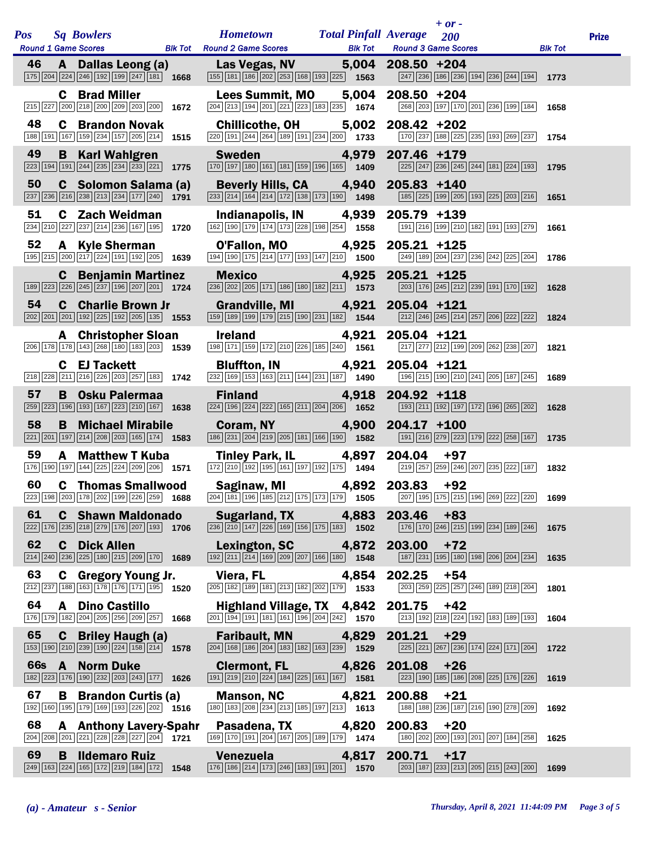| <b>Pos</b> |              | <b>Sq Bowlers</b>                                               |                | <b>Hometown</b>                                                                                                                                                     | <b>Total Pinfall Average</b> |                | 200                                                    |                |
|------------|--------------|-----------------------------------------------------------------|----------------|---------------------------------------------------------------------------------------------------------------------------------------------------------------------|------------------------------|----------------|--------------------------------------------------------|----------------|
|            |              | <b>Round 1 Game Scores</b>                                      | <b>Blk Tot</b> | <b>Round 2 Game Scores</b>                                                                                                                                          | <b>Blk Tot</b>               |                | <b>Round 3 Game Scores</b>                             | <b>Blk Tot</b> |
| 46         | A            | Dallas Leong (a)<br>175 204 224 246 192 199 247 181             | 1668           | Las Vegas, NV<br>$\boxed{155}$ $\boxed{181}$ $\boxed{186}$ $\boxed{202}$ $\boxed{253}$ $\boxed{168}$ $\boxed{193}$ $\boxed{225}$ <b>1563</b>                        | 5,004                        | $208.50 + 204$ | 247 236 186 236 194 236 244 194                        | 1773           |
|            | C            | <b>Brad Miller</b><br>215 227 200 218 200 209 203 200           | 1672           | Lees Summit, MO<br>204 213 194 201 221 223 183 235                                                                                                                  | 5,004<br>1674                | 208.50 +204    | 268 203 197 170 201 236 199 184                        | 1658           |
| 48         | C            | <b>Brandon Novak</b><br>188 191 167 159 234 157 205 214         | 1515           | <b>Chillicothe, OH</b><br>220 191 244 264 189 191 234 200 1733                                                                                                      | 5,002                        | $208.42 + 202$ | 170 237 188 225 235 193 269 237                        | 1754           |
| 49         | B            | <b>Karl Wahlgren</b><br>223 194 191 244 235 234 233 221         | 1775           | <b>Sweden</b><br>170 197 180 161 181 159 196 165 1409                                                                                                               | 4,979                        | 207.46 +179    | 225 247 236 245 244 181 224 193                        | 1795           |
| 50         | C            | Solomon Salama (a)<br>237 236 216 238 213 234 177 240           | 1791           | <b>Beverly Hills, CA</b><br>$\boxed{233}\ \boxed{214}\ \boxed{164}\ \boxed{214}\ \boxed{172}\ \boxed{138}\ \boxed{173}\ \boxed{190}$                                | 4,940<br>1498                | 205.83 +140    | 185 225 199 205 193 225 203 216                        | 1651           |
| 51         | C            | <b>Zach Weidman</b><br>234 210 227 237 214 236 167 195          | 1720           | Indianapolis, IN<br>162 190 179 174 173 228 198 254                                                                                                                 | 4,939<br>1558                | 205.79 +139    | 191 216 199 210 182 191 193 279                        | 1661           |
| 52         | A            | <b>Kyle Sherman</b><br>195 215 200 217 224 191 192 205          | 1639           | O'Fallon, MO<br>194 190 175 214 177 193 147 210 1500                                                                                                                | 4,925                        | 205.21 +125    | 249 189 204 237 236 242 225 204                        | 1786           |
|            | $\mathbf c$  | <b>Benjamin Martinez</b><br>189 223 226 245 237 196 207 201     | 1724           | <b>Mexico</b><br>236 202 205 171 186 180 182 211                                                                                                                    | 4,925<br>1573                | $205.21 + 125$ | 203 176 245 212 239 191 170 192                        | 1628           |
| 54         | $\mathbf{C}$ | <b>Charlie Brown Jr</b><br>202 201 201 192 225 192 205 135      | 1553           | <b>Grandville, MI</b><br>159 189 199 179 215 190 231 182                                                                                                            | 4,921<br>1544                | $205.04$ +121  | 212 246 245 214 257 206 222 222                        | 1824           |
|            | A            | <b>Christopher Sloan</b><br>206 178 178 143 268 180 183 203     | 1539           | <b>Ireland</b><br>198 171 159 172 210 226 185 240 1561                                                                                                              | 4,921                        | 205.04 +121    | 217 277 212 199 209 262 238 207                        | 1821           |
|            | C            | <b>EJ Tackett</b><br>218 228 211 216 226 203 257 183            | 1742           | <b>Bluffton, IN</b><br>$\boxed{232}$ 169 153 163 211 144 231 187 1490                                                                                               | 4,921                        | 205.04 +121    | 196 215 190 210 241 205 187 245                        | 1689           |
| 57         | B            | <b>Osku Palermaa</b><br>259 223 196 193 167 223 210 167         | 1638           | <b>Finland</b><br>$\boxed{224}$ 196 224 222 165 211 204 206                                                                                                         | 4,918<br>1652                | 204.92 +118    | 193 211 192 197 172 196 265 202                        | 1628           |
| 58         | B            | <b>Michael Mirabile</b><br>221 201 197 214 208 203 165 174      | 1583           | Coram, NY<br>186 231 204 219 205 181 166 190 1582                                                                                                                   | 4,900                        | $204.17 + 100$ | 191 216 279 223 179 222 258 167                        | 1735           |
| 59         | A            | <b>Matthew T Kuba</b><br>176 190 197 144 225 224 209 206        | 1571           | <b>Tinley Park, IL</b><br>172 210 192 195 161 197 192 175 1494                                                                                                      | 4,897                        | 204.04         | $+97$<br>219 257 259 246 207 235 222 187               | 1832           |
| 60         | C            | <b>Thomas Smallwood</b><br>223 198 203 178 202 199 226 259      | 1688           | Saginaw, MI<br>$\boxed{204}$ $\boxed{181}$ $\boxed{196}$ $\boxed{185}$ $\boxed{212}$ $\boxed{175}$ $\boxed{173}$ $\boxed{179}$ <b>1505</b>                          | 4,892                        | 203.83         | $+92$<br>207 195 175 215 196 269 222 220               | 1699           |
| 61         | C            | <b>Shawn Maldonado</b><br>222 176 235 218 279 176 207 193       | 1706           | <b>Sugarland, TX</b><br>$\boxed{236}\boxed{210}\boxed{147}\boxed{226}\boxed{169}\boxed{156}\boxed{175}\boxed{183}$ 1502                                             | 4,883                        | 203.46         | $+83$<br>176 170 246 215 199 234 189 246               | 1675           |
| 62         | C            | <b>Dick Allen</b><br>214 240 236 225 180 215 209 170 1689       |                | Lexington, SC<br>192 211 214 169 209 207 166 180 1548                                                                                                               | 4,872                        | 203.00         | +72<br>187 231 195 180 198 206 204 234                 | 1635           |
| 63         | C            | <b>Gregory Young Jr.</b><br>212 237 188 163 178 176 171 195     | 1520           | Viera, FL<br>205 182 189 181 213 182 202 179 1533                                                                                                                   | 4,854                        | 202.25         | $+54$<br>203 259 225 257 246 189 218 204               | 1801           |
| 64         | A            | <b>Dino Castillo</b><br>176 179 182 204 205 256 209 257         | 1668           | Highland Village, TX 4,842<br>$\boxed{201}$ $\boxed{194}$ $\boxed{191}$ $\boxed{181}$ $\boxed{161}$ $\boxed{196}$ $\boxed{204}$ $\boxed{242}$ <b>1570</b>           |                              | 201.75         | $+42$<br>213   192   218   224   192   183   189   193 | 1604           |
| 65         | C            | <b>Briley Haugh (a)</b><br>153 190 210 239 190 224 158 214 1578 |                | <b>Faribault, MN</b><br>204 168 186 204 183 182 163 239                                                                                                             | 4,829<br>1529                | 201.21         | $+29$<br>225 221 267 236 174 224 171 204               | 1722           |
| <b>66s</b> | $\mathbf{A}$ | <b>Norm Duke</b><br>182 223 176 190 232 203 243 177             | 1626           | <b>Clermont, FL</b><br>191 219 210 224 184 225 161 167                                                                                                              | 4,826<br>1581                | 201.08         | $+26$<br>223 190 185 186 208 225 176 226               | 1619           |
| 67         | B            | <b>Brandon Curtis (a)</b><br>192 160 195 179 169 193 226 202    | 1516           | <b>Manson, NC</b><br>$\boxed{180}$ $\boxed{183}$ $\boxed{208}$ $\boxed{234}$ $\boxed{213}$ $\boxed{185}$ $\boxed{197}$ $\boxed{213}$ <b>1613</b>                    | 4,821                        | 200.88         | $+21$<br>188 188 236 187 216 190 278 209               | 1692           |
| 68         | A            | <b>Anthony Lavery-Spahr</b><br>204 208 201 221 228 228 227 204  | 1721           | Pasadena, TX<br>169 170 191 204 167 205 189 179                                                                                                                     | 4,820<br>1474                | 200.83         | $+20$<br>180 202 200 193 201 207 184 258               | 1625           |
| 69         | B            | <b>Ildemaro Ruiz</b><br>249 163 224 165 172 219 184 172         | 1548           | <b>Venezuela Manufatta Strategie</b><br>$\boxed{176}$ $\boxed{186}$ $\boxed{214}$ $\boxed{173}$ $\boxed{246}$ $\boxed{183}$ $\boxed{191}$ $\boxed{201}$ <b>1570</b> | 4,817                        | 200.71         | $+17$<br>203 187 233 213 205 215 243 200               | 1699           |

|               |                                                                                                                                                      |                              | + or -                                             |                |
|---------------|------------------------------------------------------------------------------------------------------------------------------------------------------|------------------------------|----------------------------------------------------|----------------|
| BIk Tot       | <b>Hometown</b><br><b>Round 2 Game Scores</b>                                                                                                        | <b>Total Pinfall Average</b> | 200<br><b>Blk Tot Round 3 Game Scores</b>          | <b>Blk Tot</b> |
| 1668          | Las Vegas, NV 5,004 208.50 +204<br>155 181 186 202 253 168 193 225                                                                                   | 1563                         | 247 236 186 236 194 236 244 194                    | 1773           |
| 1672          | Lees Summit, MO 5,004<br>$\boxed{204}$ $\boxed{213}$ $\boxed{194}$ $\boxed{201}$ $\boxed{221}$ $\boxed{223}$ $\boxed{183}$ $\boxed{235}$ <b>1674</b> |                              | 208.50 +204<br>268 203 197 170 201 236 199 184     | 1658           |
| 1515          | <b>Chillicothe, OH</b><br>$\boxed{220}$ 191 244 264 189 191 234 200 1733                                                                             | 5,002                        | 208.42 +202<br>170 237 188 225 235 193 269 237     | 1754           |
| 1775          | <b>Sweden</b> 4,979<br>170 197 180 161 181 159 196 165                                                                                               | 1409                         | 207.46 +179<br>225 247 236 245 244 181 224 193     | 1795           |
| a (a)<br>1791 | Beverly Hills, CA 4,940<br>233 214 164 214 172 138 173 190 1498                                                                                      |                              | $205.83 + 140$<br>185 225 199 205 193 225 203 216  | 1651           |
| 1720          | Indianapolis, IN 4,939<br>162 190 179 174 173 228 198 254 1558                                                                                       |                              | 205.79 +139<br>191 216 199 210 182 191 193 279     | 1661           |
| 1639          | <b>O'Fallon, MO</b> 4,925<br>194 190 175 214 177 193 147 210 1500                                                                                    |                              | 205.21 +125<br>249 189 204 237 236 242 225 204     | 1786           |
| nez<br>1724   | <b>Mexico</b><br><u>a je predsjednje predsta</u><br>236 202 205 171 186 180 182 211 1573                                                             | 4,925                        | 205.21 +125<br>203 176 245 212 239 191 170 192     | 1628           |
| r<br>1553     | Grandville, MI 4,921<br>159 189 199 179 215 190 231 182 1544                                                                                         |                              | 205.04 +121<br>212 246 245 214 257 206 222 222     | 1824           |
| an<br>1539    | <b>Ireland</b><br>198 171 159 172 210 226 185 240 1561                                                                                               | 4,921                        | $205.04$ +121<br>217 277 212 199 209 262 238 207   | 1821           |
| 1742          | <b>Bluffton, IN</b><br>$\boxed{232}$ 169 153 163 211 144 231 187 1490                                                                                | 4,921                        | 205.04 +121<br>196 215 190 210 241 205 187 245     | 1689           |
| 1638          | <b>Finland</b><br>$\boxed{224}$ 196 224 222 165 211 204 206 1652                                                                                     | $\sim$ 4,918                 | 204.92 +118<br>193 211 192 197 172 196 265 202     | 1628           |
| e<br>1583     | <b>Coram, NY</b> 4,900<br>186 231 204 219 205 181 166 190 1582                                                                                       |                              | $204.17 + 100$<br>191 216 279 223 179 222 258 167  | 1735           |
| a<br>1571     | <b>Tinley Park, IL</b><br>172 210 192 195 161 197 192 175 1494                                                                                       | 4,897                        | 204.04<br>$+97$<br>219 257 259 246 207 235 222 187 | 1832           |
| ood<br>1688   | Saginaw, MI<br>$\boxed{204}$ 181 196 185 212 175 173 179 1505                                                                                        | 4,892                        | 203.83<br>$+92$<br>207 195 175 215 196 269 222 220 | 1699           |
| obe<br>1706   | Sugarland, TX<br>$\boxed{236}\boxed{210}\boxed{147}\boxed{226}\boxed{169}\boxed{156}\boxed{175}\boxed{183}$ 1502                                     | 4,883                        | 203.46<br>+83<br>176 170 246 215 199 234 189 246   | 1675           |
| 1689          | Lexington, SC 4,872<br>192 211 214 169 209 207 166 180                                                                                               | 1548                         | 203.00<br>$+72$<br>187 231 195 180 198 206 204 234 | 1635           |
| r.<br>1520    | Viera, FL<br>205 182 189 181 213 182 202 179 1533                                                                                                    | 4,854                        | 202.25<br>+54<br>203 259 225 257 246 189 218 204   | 1801           |
| 1668          | Highland Village, TX 4,842<br>$\boxed{201}$ $\boxed{194}$ $\boxed{191}$ $\boxed{181}$ $\boxed{161}$ $\boxed{196}$ $\boxed{204}$ $\boxed{242}$        | 1570                         | 201.75<br>$+42$<br>213 192 218 224 192 183 189 193 | 1604           |
| 1578          | <b>Faribault, MN</b><br>204 168 186 204 183 182 163 239                                                                                              | 4,829<br>1529                | 201.21<br>$+29$<br>225 221 267 236 174 224 171 204 | 1722           |
| 1626          | <b>Clermont, FL</b><br>191 219 210 224 184 225 161 167                                                                                               | 4,826<br>1581                | 201.08<br>$+26$<br>223 190 185 186 208 225 176 226 | 1619           |
| (a)<br>1516   | <b>Manson, NC</b><br>180 183 208 234 213 185 197 213                                                                                                 | 4,821<br>1613                | 200.88<br>$+21$<br>188 188 236 187 216 190 278 209 | 1692           |
| Spahr<br>1721 | Pasadena, TX 4,820<br>169 170 191 204 167 205 189 179 1474                                                                                           |                              | 200.83<br>+20<br>180 202 200 193 201 207 184 258   | 1625           |
| 1548          | <b>Venezuela</b><br>176 186 214 173 246 183 191 201                                                                                                  | 4,817<br>1570                | $+17$<br>200.71<br>203 187 233 213 205 215 243 200 | 1699           |

|                                           | $+$ or - |                                               |         |              |
|-------------------------------------------|----------|-----------------------------------------------|---------|--------------|
| Average 200<br><b>Round 3 Game Scores</b> |          |                                               | Blk Tot | <b>Prize</b> |
|                                           |          |                                               |         |              |
| 208.50 +204                               |          | 247 236 186 236 194 236 244 194               | 1773    |              |
| 208.50 +204                               |          | 268   203   197   170   201   236   199   184 | 1658    |              |
| 208.42 +202                               |          | 170 237 188 225 235 193 269 237               |         |              |
|                                           |          |                                               | 1754    |              |
| 207.46 +179                               |          | 225 247 236 245 244 181 224 193               | 1795    |              |
| 205.83 +140                               |          | 185 225 199 205 193 225 203 216               | 1651    |              |
| 205.79 +139                               |          |                                               |         |              |
|                                           |          | 191   216   199   210   182   191   193   279 | 1661    |              |
| 205.21 +125                               |          | $\boxed{249}$ 189 204 237 236 242 225 204     | 1786    |              |
| 205.21 +125                               |          | 203 176 245 212 239 191 170 192               | 1628    |              |
| 205.04 +121                               |          | 212 246 245 214 257 206 222 222               | 1824    |              |
|                                           |          |                                               |         |              |
| 205.04 +121                               |          | 217 277 212 199 209 262 238 207               | 1821    |              |
| 205.04 +121                               |          | 196   215   190   210   241   205   187   245 | 1689    |              |
| 204.92 +118                               |          |                                               |         |              |
|                                           |          | 193 211 192 197 172 196 265 202               | 1628    |              |
| 204.17 +100                               |          | 191 216 279 223 179 222 258 167               | 1735    |              |
| 204.04 +97                                |          |                                               |         |              |
| 203.83 +92                                |          | 219 257 259 246 207 235 222 187               | 1832    |              |
|                                           |          | 207 195 175 215 196 269 222 220 1699          |         |              |
| 203.46 +83                                |          | 176 170 246 215 199 234 189 246               | 1675    |              |
| 203.00 +72                                |          | 187 231 195 180 198 206 204 234               | 1635    |              |
| 202.25                                    | +54      |                                               |         |              |
|                                           |          | 203 259 225 257 246 189 218 204               | 1801    |              |
| 201.75 +42                                |          | 213 192 218 224 192 183 189 193               | 1604    |              |
| 201.21 +29                                |          | 225 221 267 236 174 224 171 204               | 1722    |              |
| 201.08 +26                                |          | 223 190 185 186 208 225 176 226               | 1619    |              |
|                                           |          |                                               |         |              |
| 200.88 +21                                |          | 188   188   236   187   216   190   278   209 | 1692    |              |
| 200.83 +20                                |          | 180 202 200 193 201 207 184 258               | 1625    |              |
| $200.71$ +17                              |          |                                               |         |              |
|                                           |          | 203   187   233   213   205   215   243   200 | 1699    |              |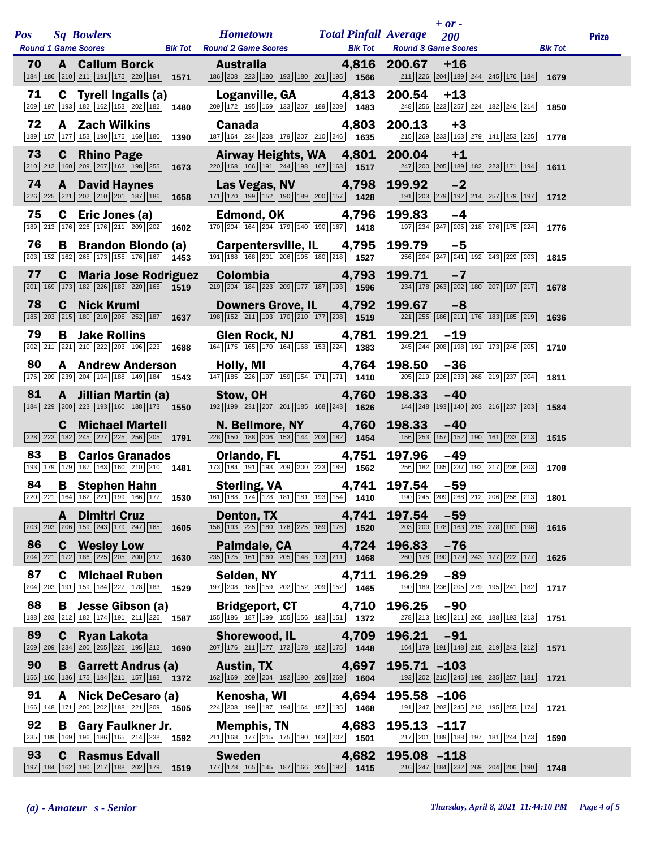| <b>Pos</b> | <b>Sq Bowlers</b>                                                                                                                                              |      | <b>Hometown</b>                                                                                                                                            | <b>Total Pinfall Average</b> | $+ or -$<br>200                                                                                                                    |                | <b>Prize</b> |
|------------|----------------------------------------------------------------------------------------------------------------------------------------------------------------|------|------------------------------------------------------------------------------------------------------------------------------------------------------------|------------------------------|------------------------------------------------------------------------------------------------------------------------------------|----------------|--------------|
|            | <b>Round 1 Game Scores</b>                                                                                                                                     |      | <b>Blk Tot</b> Round 2 Game Scores                                                                                                                         | <b>Blk Tot</b>               | <b>Round 3 Game Scores</b>                                                                                                         | <b>Blk Tot</b> |              |
| 70         | <b>A</b> Callum Borck<br>184 186 210 211 191 175 220 194                                                                                                       | 1571 | <b>Australia</b><br>186 208 223 180 193 180 201 195 1566                                                                                                   | 4,816                        | 200.67<br>$+16$<br>$\boxed{211}$ $\boxed{226}$ $\boxed{204}$ $\boxed{189}$ $\boxed{244}$ $\boxed{245}$ $\boxed{176}$ $\boxed{184}$ | 1679           |              |
| 71         | C Tyrell Ingalls (a)<br>209 197 193 182 162 153 202 182 1480                                                                                                   |      | Loganville, GA<br>$\boxed{209}$ $\boxed{172}$ $\boxed{195}$ $\boxed{169}$ $\boxed{133}$ $\boxed{207}$ $\boxed{189}$ $\boxed{209}$ $\boxed{1483}$           | 4,813                        | 200.54<br>$+13$<br>248 256 223 257 224 182 246 214                                                                                 | 1850           |              |
| 72         | A Zach Wilkins<br>189 157 177 153 190 175 169 180 1390                                                                                                         |      | <b>Canada</b><br>$\boxed{187}$ $\boxed{164}$ $\boxed{234}$ $\boxed{208}$ $\boxed{179}$ $\boxed{207}$ $\boxed{210}$ $\boxed{246}$ 1635                      | 4,803                        | 200.13<br>$+3$<br>215 269 233 163 279 141 253 225                                                                                  | 1778           |              |
| 73         | <b>C</b> Rhino Page<br>210 212 160 209 267 162 198 255                                                                                                         | 1673 | Airway Heights, WA 4,801<br>$\boxed{220}\boxed{168}\boxed{166}\boxed{191}\boxed{244}\boxed{198}\boxed{167}\boxed{163}$ 1517                                |                              | 200.04<br>$+1$<br>247 200 205 189 182 223 171 194                                                                                  | 1611           |              |
| 74         | <b>A</b> David Haynes<br>$\boxed{226}\boxed{225}\boxed{221}\boxed{202}\boxed{210}\boxed{201}\boxed{187}\boxed{186}$ 1658                                       |      | Las Vegas, NV<br>$\boxed{171}$ $\boxed{170}$ $\boxed{199}$ $\boxed{152}$ $\boxed{190}$ $\boxed{189}$ $\boxed{200}$ $\boxed{157}$ $\boxed{1428}$            | 4,798                        | 199.92<br>$-2$<br>191 203 279 192 214 257 179 197                                                                                  | 1712           |              |
| 75         | C Eric Jones (a)<br>189 213 176 226 176 211 209 202                                                                                                            | 1602 | Edmond, OK<br>$\boxed{170}$ $\boxed{204}$ $\boxed{164}$ $\boxed{204}$ $\boxed{179}$ $\boxed{140}$ $\boxed{190}$ $\boxed{167}$ 1418                         | 4,796                        | 199.83<br>-4<br>197 234 247 205 218 276 175 224                                                                                    | 1776           |              |
| 76         | <b>B</b> Brandon Biondo (a)<br>203 152 162 265 173 155 176 167 1453                                                                                            |      | <b>Carpentersville, IL</b><br>191 168 168 201 206 195 180 218 1527                                                                                         | 4,795                        | 199.79<br>$-5$<br>256 204 247 241 192 243 229 203                                                                                  | 1815           |              |
| 77         | <b>C</b> Maria Jose Rodriguez<br>201 169 173 182 226 183 220 165 1519                                                                                          |      | <b>Colombia</b><br>219 204 184 223 209 177 187 193 1596                                                                                                    | 4,793                        | 199.71<br>$-7$<br>234 178 263 202 180 207 197 217                                                                                  | 1678           |              |
| 78         | <b>C</b> Nick Kruml<br>185 203 215 180 210 205 252 187 1637                                                                                                    |      | <b>Downers Grove, IL</b><br>$\boxed{198}$ $\boxed{152}$ $\boxed{211}$ $\boxed{193}$ $\boxed{170}$ $\boxed{210}$ $\boxed{177}$ $\boxed{208}$ $\boxed{1519}$ | 4,792                        | 199.67<br>$-8$<br>221 255 186 211 176 183 185 219                                                                                  | 1636           |              |
| 79         | B<br><b>Jake Rollins</b><br>202 211 221 210 222 203 196 223 1688                                                                                               |      | <b>Glen Rock, NJ</b><br>164 175 165 170 164 168 153 224 1383                                                                                               | 4,781                        | 199.21<br>$-19$<br>245 244 208 198 191 173 246 205                                                                                 | 1710           |              |
| 80         | <b>A</b> Andrew Anderson<br>176 209 239 204 194 188 149 184 1543                                                                                               |      | Holly, MI<br>$\boxed{147}$ $\boxed{185}$ $\boxed{226}$ $\boxed{197}$ $\boxed{159}$ $\boxed{154}$ $\boxed{171}$ $\boxed{171}$ <b>1410</b>                   | 4,764                        | 198.50<br>$-36$<br>205 219 226 233 268 219 237 204                                                                                 | 1811           |              |
| 81         | A Jillian Martin (a)<br>184 229 200 223 193 160 188 173 1550                                                                                                   |      | Stow, OH <b>Strategies</b><br>$\boxed{192}\boxed{199}\boxed{231}\boxed{207}\boxed{201}\boxed{185}\boxed{168}\boxed{243}$ 1626                              | 4,760                        | 198.33<br>$-40$<br>[144] 248 193 140 203 216 237 203                                                                               | 1584           |              |
|            | <b>C</b> Michael Martell<br>228 223 182 245 227 225 256 205 1791                                                                                               |      | N. Bellmore, NY 4,760<br>$\boxed{228}$ 150 188 206 153 144 203 182 1454                                                                                    |                              | 198.33<br>$-40$<br>156 253 157 152 190 161 233 213                                                                                 | 1515           |              |
| 83         | B<br><b>Carlos Granados</b><br>193 179 179 187 163 160 210 210 1481                                                                                            |      | Orlando, FL<br>$\boxed{173}$ $\boxed{184}$ $\boxed{191}$ $\boxed{193}$ $\boxed{209}$ $\boxed{200}$ $\boxed{223}$ $\boxed{189}$ $\boxed{1562}$              | 4,751                        | 197.96<br>$-49$<br>256 182 185 237 192 217 236 203                                                                                 | 1708           |              |
| 84         | <b>B</b> Stephen Hahn<br>$\overline{220}\overline{221}\overline{164}\overline{162}\overline{221}\overline{221}\overline{199}\overline{166}\overline{177}$ 1530 |      | <b>Sterling, VA</b><br>$\boxed{161}$ $\boxed{188}$ $\boxed{174}$ $\boxed{178}$ $\boxed{181}$ $\boxed{181}$ $\boxed{193}$ $\boxed{154}$ $\boxed{1410}$      | 4,741                        | 197.54<br>$-59$<br>190 245 209 268 212 206 258 213                                                                                 | 1801           |              |
|            | <b>Dimitri Cruz</b><br>A<br>$\boxed{203}$ $\boxed{203}$ $\boxed{206}$ $\boxed{159}$ $\boxed{243}$ $\boxed{179}$ $\boxed{247}$ $\boxed{165}$ <b>1605</b>        |      | <b>Denton, TX</b><br>156 193 225 180 176 225 189 176 1520                                                                                                  | 4,741                        | 197.54<br>$-59$<br>203 200 178 163 215 278 181 198                                                                                 | 1616           |              |
| 86         | <b>C</b> Wesley Low<br>$\boxed{204}\boxed{221}\boxed{172}\boxed{186}\boxed{225}\boxed{205}\boxed{200}\boxed{217}$                                              | 1630 | Palmdale, CA<br>$\boxed{235}$ $\boxed{175}$ $\boxed{161}$ $\boxed{160}$ $\boxed{205}$ $\boxed{148}$ $\boxed{173}$ $\boxed{211}$ <b>1468</b>                | 4,724                        | 196.83<br>$-76$<br>260 178 190 179 243 177 222 177                                                                                 | 1626           |              |
| 87         | C.<br><b>Michael Ruben</b><br>204 203 191 159 184 227 178 183                                                                                                  | 1529 | Selden, NY<br>197 208 186 159 202 152 209 152 1465                                                                                                         | 4,711                        | 196.29<br>-89<br>190 189 236 205 279 195 241 182                                                                                   | 1717           |              |
| 88         | В<br>Jesse Gibson (a)<br>188 203 212 182 174 191 211 226 1587                                                                                                  |      | <b>Bridgeport, CT</b><br>$\boxed{155}\boxed{186}\boxed{187}\boxed{199}\boxed{155}\boxed{156}\boxed{183}\boxed{151}$ 1372                                   | 4,710                        | 196.25<br>$-90$<br>278 213 190 211 265 188 193 213                                                                                 | 1751           |              |
| 89         | $\mathbf{c}$<br><b>Ryan Lakota</b><br>209 209 234 200 205 226 195 212                                                                                          | 1690 | <b>Shorewood, IL</b><br>$\boxed{207}$ $\boxed{176}$ $\boxed{211}$ $\boxed{177}$ $\boxed{172}$ $\boxed{178}$ $\boxed{152}$ $\boxed{175}$ <b>1448</b>        | 4,709                        | 196.21<br>$-91$<br>164 179 191 148 215 219 243 212                                                                                 | 1571           |              |
| 90         | <b>B</b> Garrett Andrus (a)<br>156 160 136 175 184 211 157 193 1372                                                                                            |      | <b>Austin, TX</b><br>162 169 209 204 192 190 209 269 1604                                                                                                  | 4,697                        | $195.71 - 103$<br>193 202 210 245 198 235 257 181                                                                                  | 1721           |              |
| 91         | <b>Nick DeCesaro (a)</b><br>A<br>166 148 171 200 202 188 221 209 1505                                                                                          |      | Kenosha, WI<br>224 208 199 187 194 164 157 135 1468                                                                                                        | 4,694                        | 195.58 -106<br>191 247 202 245 212 195 255 174                                                                                     | 1721           |              |
| 92         | В<br><b>Gary Faulkner Jr.</b><br>235 189 169 196 186 165 214 238 1592                                                                                          |      | <b>Memphis, TN</b><br>$\boxed{211}$ 168 177 215 175 190 163 202 1501                                                                                       | 4,683                        | $195.13 - 117$<br>217 201 189 188 197 181 244 173                                                                                  | 1590           |              |
| 93         | <b>Rasmus Edvall</b><br>C.<br>197 184 162 190 217 188 202 179                                                                                                  | 1519 | <b>Sweden</b><br>177 178 165 145 187 166 205 192 1415                                                                                                      | 4,682                        | $195.08 - 118$<br>216 247 184 232 269 204 206 190                                                                                  | 1748           |              |